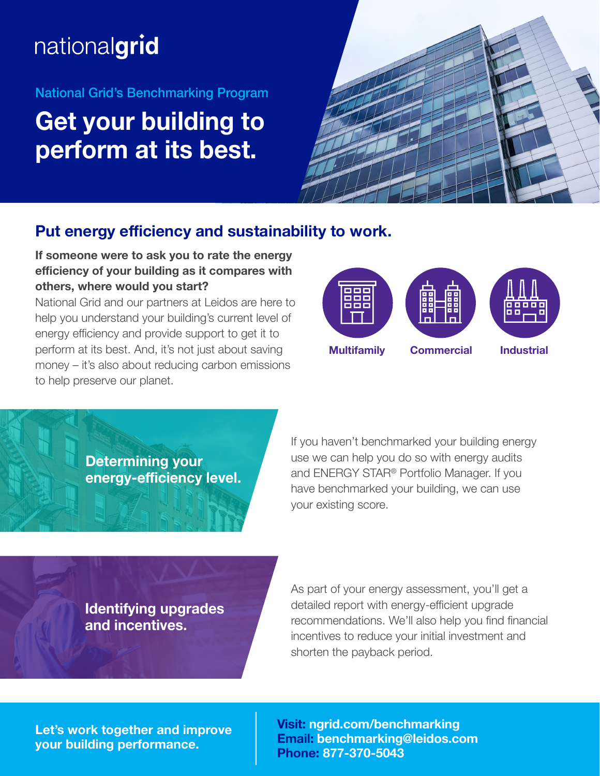# nationalgrid

### National Grid's Benchmarking Program

## **Get your building to perform at its best.**



## **Put energy efficiency and sustainability to work.**

### **If someone were to ask you to rate the energy efficiency of your building as it compares with others, where would you start?**

National Grid and our partners at Leidos are here to help you understand your building's current level of energy efficiency and provide support to get it to perform at its best. And, it's not just about saving money – it's also about reducing carbon emissions to help preserve our planet.



**Determining your energy-efficiency level.**

If you haven't benchmarked your building energy use we can help you do so with energy audits and ENERGY STAR® Portfolio Manager. If you have benchmarked your building, we can use your existing score.

**Identifying upgrades and incentives.** 

As part of your energy assessment, you'll get a detailed report with energy-efficient upgrade recommendations. We'll also help you find financial incentives to reduce your initial investment and shorten the payback period.

**Let's work together and improve your building performance.**

**Visit: ngrid.com/benchmarking Email: benchmarking@leidos.com Phone: 877-370-5043**